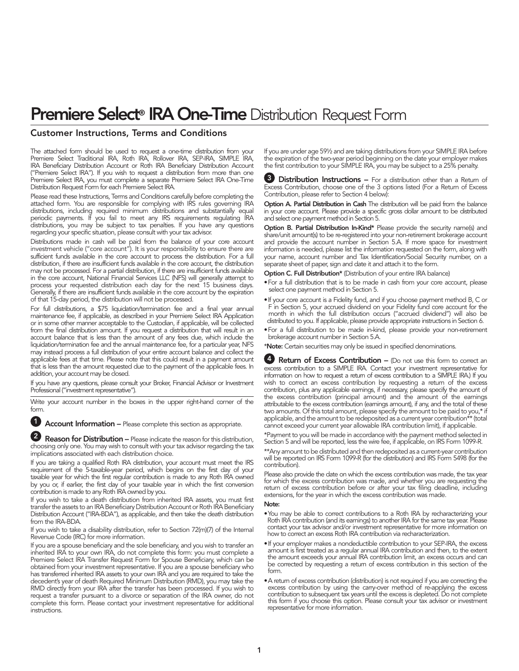# Premiere Select<sup>®</sup> IRA One-Time Distribution Request Form

#### Customer Instructions, Terms and Conditions

The attached form should be used to request a one-time distribution from your Premiere Select Traditional IRA, Roth IRA, Rollover IRA, SEP-IRA, SIMPLE IRA, IRA Beneficiary Distribution Account or Roth IRA Beneficiary Distribution Account ("Premiere Select IRA"). If you wish to request a distribution from more than one Premiere Select IRA, you must complete a separate Premiere Select IRA One-Time Distribution Request Form for each Premiere Select IRA.

Please read these Instructions, Terms and Conditions carefully before completing the attached form. You are responsible for complying with IRS rules governing IRA distributions, including required minimum distributions and substantially equal periodic payments. If you fail to meet any IRS requirements regulating IRA distributions, you may be subject to tax penalties. If you have any questions regarding your specific situation, please consult with your tax advisor.

Distributions made in cash will be paid from the balance of your core account investment vehicle ("core account"). It is your responsibility to ensure there are sufficient funds available in the core account to process the distribution. For a full distribution, if there are insufficient funds available in the core account, the distribution may not be processed. For a partial distribution, if there are insufficient funds available in the core account, National Financial Services LLC (NFS) will generally attempt to process your requested distribution each day for the next 15 business days. Generally, if there are insufficient funds available in the core account by the expiration of that 15-day period, the distribution will not be processed.

For full distributions, a \$75 liquidation/termination fee and a final year annual maintenance fee, if applicable, as described in your Premiere Select IRA Application or in some other manner acceptable to the Custodian, if applicable, will be collected from the final distribution amount. If you request a distribution that will result in an account balance that is less than the amount of any fees due, which include the liquidation/termination fee and the annual maintenance fee, for a particular year, NFS may instead process a full distribution of your entire account balance and collect the applicable fees at that time. Please note that this could result in a payment amount that is less than the amount requested due to the payment of the applicable fees. In addition, your account may be closed.

If you have any questions, please consult your Broker, Financial Advisor or Investment Professional ("investment representative").

Write your account number in the boxes in the upper right-hand corner of the form.

**1** Account Information – Please complete this section as appropriate.

**2** Reason for Distribution – Please indicate the reason for this distribution, choosing only one. You may wish to consult with your tax advisor regarding the tax implications associated with each distribution choice.

If you are taking a qualified Roth IRA distribution, your account must meet the IRS requirement of the 5-taxable-year period, which begins on the first day of your taxable year for which the first regular contribution is made to any Roth IRA owned by you or, if earlier, the first day of your taxable year in which the first conversion contribution is made to any Roth IRA owned by you.

If you wish to take a death distribution from inherited IRA assets, you must first transfer the assets to an IRA Beneficiary Distribution Account or Roth IRA Beneficiary Distribution Account ("IRA-BDA"), as applicable, and then take the death distribution from the IRA-BDA.

If you wish to take a disability distribution, refer to Section 72(m)(7) of the Internal Revenue Code (IRC) for more information.

If you are a spouse beneficiary and the sole beneficiary, and you wish to transfer an inherited IRA to your own IRA, do not complete this form: you must complete a Premiere Select IRA Transfer Request Form for Spouse Beneficiary, which can be obtained from your investment representative. If you are a spouse beneficiary who has transferred inherited IRA assets to your own IRA and you are required to take the decedent's year of death Required Minimum Distribution (RMD), you may take the RMD directly from your IRA after the transfer has been processed. If you wish to request a transfer pursuant to a divorce or separation of the IRA owner, do not complete this form. Please contact your investment representative for additional instructions.

If you are under age 59½ and are taking distributions from your SIMPLE IRA before the expiration of the two-year period beginning on the date your employer makes the first contribution to your SIMPLE IRA, you may be subject to a 25% penalty.

**3** Distribution Instructions – For a distribution other than a Return of Excess Contribution, choose one of the 3 options listed (For a Return of Excess Contribution, please refer to Section 4 below):

Option A. Partial Distribution in Cash The distribution will be paid from the balance in your core account. Please provide a specific gross dollar amount to be distributed and select one payment method in Section 5.

Option B. Partial Distribution In-Kind\* Please provide the security name(s) and share/unit amount(s) to be re-registered into your non-retirement brokerage account and provide the account number in Section 5.A. If more space for investment information is needed, please list the information requested on the form, along with your name, account number and Tax Identification/Social Security number, on a separate sheet of paper, sign and date it and attach it to the form.

Option C. Full Distribution\* (Distribution of your entire IRA balance)

- For a full distribution that is to be made in cash from your core account, please select one payment method in Section 5.
- If your core account is a Fidelity fund, and if you choose payment method B, C or F in Section 5, your accrued dividend on your Fidelity fund core account for the month in which the full distribution occurs ("accrued dividend") will also be distributed to you. If applicable, please provide appropriate instructions in Section 6.
- For a full distribution to be made in-kind, please provide your non-retirement brokerage account number in Section 5.A.

\*Note: Certain securities may only be issued in specified denominations.

**4** Return of Excess Contribution – (Do not use this form to correct an excess contribution to a SIMPLE IRA. Contact your investment representative for information on how to request a return of excess contribution to a SIMPLE IRA.) If you wish to correct an excess contribution by requesting a return of the excess contribution, plus any applicable earnings, if necessary, please specify the amount of the excess contribution (principal amount) and the amount of the earnings attributable to the excess contribution (earnings amount), if any, and the total of these two amounts. Of this total amount, please specify the amount to be paid to you,\* if applicable, and the amount to be redeposited as a current year contribution\*\* (total cannot exceed your current year allowable IRA contribution limit), if applicable.

\*Payment to you will be made in accordance with the payment method selected in Section 5 and will be reported, less the wire fee, if applicable, on IRS Form 1099-R.

\*\*Any amount to be distributed and then redeposited as a current-year contribution will be reported on IRS Form 1099-R (for the distribution) and IRS Form 5498 (for the contribution).

Please also provide the date on which the excess contribution was made, the tax year for which the excess contribution was made, and whether you are requesting the return of excess contribution before or after your tax filing deadline, including extensions, for the year in which the excess contribution was made.

#### Note:

- You may be able to correct contributions to a Roth IRA by recharacterizing your Roth IRA contribution (and its earnings) to another IRA for the same tax year. Please contact your tax advisor and/or investment representative for more information on how to correct an excess Roth IRA contribution via recharacterization.
- If your employer makes a nondeductible contribution to your SEP-IRA, the excess amount is first treated as a regular annual IRA contribution and then, to the extent the amount exceeds your annual IRA contribution limit, an excess occurs and can be corrected by requesting a return of excess contribution in this section of the form.
- A return of excess contribution (distribution) is not required if you are correcting the excess contribution by using the carry-over method of re-applying the excess contribution to subsequent tax years until the excess is depleted. Do not complete this form if you choose this option. Please consult your tax advisor or investment representative for more information.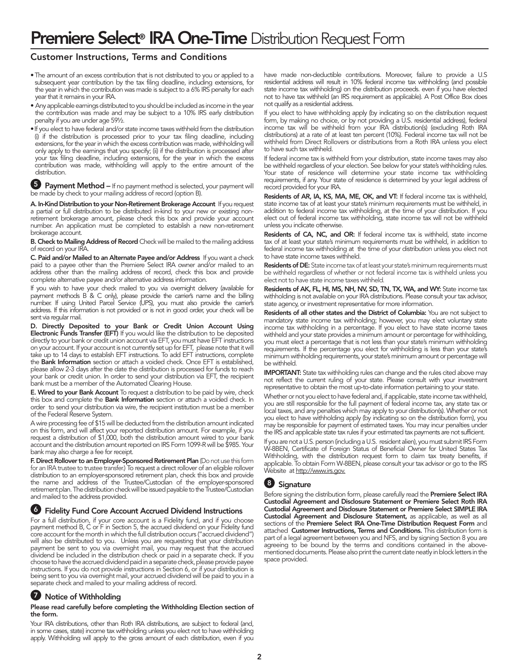## Customer Instructions, Terms and Conditions

- The amount of an excess contribution that is not distributed to you or applied to a subsequent year contribution by the tax filing deadline, including extensions, for the year in which the contribution was made is subject to a 6% IRS penalty for each year that it remains in your IRA.
- Any applicable earnings distributed to you should be included as income in the year the contribution was made and may be subject to a 10% IRS early distribution penalty if you are under age 59½.
- If you elect to have federal and/or state income taxes withheld from the distribution (i) if the distribution is processed prior to your tax filing deadline, including extensions, for the year in which the excess contribution was made, withholding will only apply to the earnings that you specify; (ii) if the distribution is processed after your tax filing deadline, including extensions, for the year in which the excess contribution was made, withholding will apply to the entire amount of the distribution.

**5** Payment Method – If no payment method is selected, your payment will be made by check to your mailing address of record (option B).

A. In-Kind Distribution to your Non-Retirement Brokerage Account If you request a partial or full distribution to be distributed in-kind to your new or existing nonretirement brokerage amount, please check this box and provide your account number. An application must be completed to establish a new non-retirement brokerage account.

B. Check to Mailing Address of Record Check will be mailed to the mailing address of record on your IRA.

C. Paid and/or Mailed to an Alternate Payee and/or Address If you want a check paid to a payee other than the Premiere Select IRA owner and/or mailed to an address other than the mailing address of record, check this box and provide complete alternative payee and/or alternative address information.

If you wish to have your check mailed to you via overnight delivery (available for payment methods B & C only), please provide the carrier's name and the billing number. If using United Parcel Service (UPS), you must also provide the carrier's address. If this information is not provided or is not in good order, your check will be sent via regular mail.

D. Directly Deposited to your Bank or Credit Union Account Using **Electronic Funds Transfer (EFT)** If you would like the distribution to be deposited directly to your bank or credit union account via EFT, you must have EFT instructions on your account. If your account is not currently set up for EFT, please note that it will take up to 14 days to establish EFT instructions. To add EFT instructions, complete the **Bank Information** section or attach a voided check. Once EFT is established, please allow 2-3 days after the date the distribution is processed for funds to reach your bank or credit union. In order to send your distribution via EFT, the recipient bank must be a member of the Automated Clearing House.

**E. Wired to your Bank Account** To request a distribution to be paid by wire, check this box and complete the Bank Information section or attach a voided check. In order to send your distribution via wire, the recipient institution must be a member of the Federal Reserve System.

A wire processing fee of \$15 will be deducted from the distribution amount indicated on this form, and will affect your reported distribution amount. For example, if you request a distribution of \$1,000, both the distribution amount wired to your bank account and the distribution amount reported on IRS Form 1099-R will be \$985. Your bank may also charge a fee for receipt.

F. Direct Rollover to an Employer-Sponsored Retirement Plan (Do not use this form for an IRA trustee to trustee transfer.) To request a direct rollover of an eligible rollover distribution to an employer-sponsored retirement plan, check this box and provide the name and address of the Trustee/Custodian of the employer-sponsored retirement plan. The distribution check will be issued payable to the Trustee/Custodian and mailed to the address provided.

#### 6 Fidelity Fund Core Account Accrued Dividend Instructions

For a full distribution, if your core account is a Fidelity fund, and if you choose payment method B, C or F in Section 5, the accrued dividend on your Fidelity fund core account for the month in which the full distribution occurs ("accrued dividend") will also be distributed to you. Unless you are requesting that your distribution payment be sent to you via overnight mail, you may request that the accrued dividend be included in the distribution check or paid in a separate check. If you choose to have the accrued dividend paid in a separate check, please provide payee instructions. If you do not provide instructions in Section 6, or if your distribution is being sent to you via overnight mail, your accrued dividend will be paid to you in a separate check and mailed to your mailing address of record.

### **7** Notice of Withholding

#### Please read carefully before completing the Withholding Election section of the form.

Your IRA distributions, other than Roth IRA distributions, are subject to federal (and, in some cases, state) income tax withholding unless you elect not to have withholding apply. Withholding will apply to the gross amount of each distribution, even if you have made non-deductible contributions. Moreover, failure to provide a U.S residential address will result in 10% federal income tax withholding (and possible state income tax withholding) on the distribution proceeds. even if you have elected not to have tax withheld (an IRS requirement as applicable). A Post Office Box does not qualify as a residential address.

If you elect to have withholding apply (by indicating so on the distribution request form, by making no choice, or by not providing a U.S. residential address), federal income tax will be withheld from your IRA distribution(s) (excluding Roth IRA distributions) at a rate of at least ten percent (10%). Federal income tax will not be withheld from Direct Rollovers or distributions from a Roth IRA unless you elect to have such tax withheld.

If federal income tax is withheld from your distribution, state income taxes may also be withheld regardless of your election. See below for your state's withholding rules. Your state of residence will determine your state income tax withholding requirements, if any. Your state of residence is determined by your legal address of record provided for your IRA.

Residents of AR, IA, KS, MA, ME, OK, and VT: If federal income tax is withheld, state income tax of at least your state's minimum requirements must be withheld, in addition to federal income tax withholding, at the time of your distribution. If you elect out of federal income tax withholding, state income tax will not be withheld unless you indicate otherwise.

Residents of CA, NC, and OR: If federal income tax is withheld, state income tax of at least your state's minimum requirements must be withheld, in addition to federal income tax withholding at the time of your distribution unless you elect not to have state income taxes withheld.

Residents of DE: State income tax of at least your state's minimum requirements must be withheld regardless of whether or not federal income tax is withheld unless you elect not to have state income taxes withheld.

Residents of AK, FL, HI, MS, NH, NV, SD, TN, TX, WA, and WY: State income tax withholding is not available on your IRA distributions. Please consult your tax advisor, state agency, or investment representative for more information.

Residents of all other states and the District of Columbia: You are not subject to mandatory state income tax withholding; however, you may elect voluntary state income tax withholding in a percentage. If you elect to have state income taxes withheld and your state provides a minimum amount or percentage for withholding, you must elect a percentage that is not less than your state's minimum withholding requirements. If the percentage you elect for withholding is less than your state's minimum withholding requirements, your state's minimum amount or percentage will be withheld.

IMPORTANT: State tax withholding rules can change and the rules cited above may not reflect the current ruling of your state. Please consult with your investment representative to obtain the most up-to-date information pertaining to your state.

Whether or not you elect to have federal and, if applicable, state income tax withheld, you are still responsible for the full payment of federal income tax, any state tax or local taxes, and any penalties which may apply to your distribution(s). Whether or not you elect to have withholding apply (by indicating so on the distribution form), you may be responsible for payment of estimated taxes. You may incur penalties under the IRS and applicable state tax rules if your estimated tax payments are not sufficient.

If you are not a U.S. person (including a U.S. resident alien), you must submit IRS Form W-8BEN, Certificate of Foreign Status of Beneficial Owner for United States Tax Withholding, with the distribution request form to claim tax treaty benefits, if applicable. To obtain Form W-8BEN, please consult your tax advisor or go to the IRS Website at http://www.irs.gov.

# <sup>8</sup> Signature

Before signing the distribution form, please carefully read the Premiere Select IRA Custodial Agreement and Disclosure Statement or Premiere Select Roth IRA Custodial Agreement and Disclosure Statement or Premiere Select SIMPLE IRA Custodial Agreement and Disclosure Statement, as applicable, as well as all sections of the Premiere Select IRA One-Time Distribution Request Form and attached Customer Instructions, Terms and Conditions. This distribution form is part of a legal agreement between you and NFS, and by signing Section 8 you are agreeing to be bound by the terms and conditions contained in the abovementioned documents. Please also print the current date neatly in block letters in the space provided.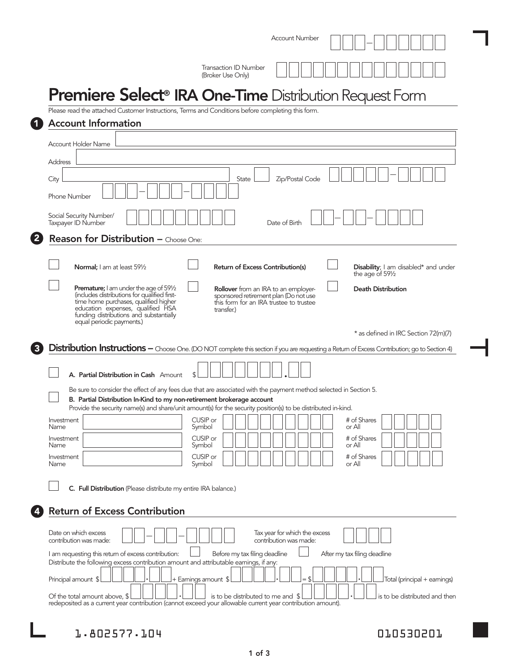|                                                                                                                                                                                                                                                               | <b>Account Number</b>                                                                                                                                                                                              |
|---------------------------------------------------------------------------------------------------------------------------------------------------------------------------------------------------------------------------------------------------------------|--------------------------------------------------------------------------------------------------------------------------------------------------------------------------------------------------------------------|
|                                                                                                                                                                                                                                                               | <b>Transaction ID Number</b><br>(Broker Use Only)                                                                                                                                                                  |
|                                                                                                                                                                                                                                                               | Premiere Select <sup>®</sup> IRA One-Time Distribution Request Form                                                                                                                                                |
| Please read the attached Customer Instructions, Terms and Conditions before completing this form.<br><b>Account Information</b>                                                                                                                               |                                                                                                                                                                                                                    |
| Account Holder Name                                                                                                                                                                                                                                           |                                                                                                                                                                                                                    |
| <b>Address</b>                                                                                                                                                                                                                                                |                                                                                                                                                                                                                    |
| City<br><b>Phone Number</b>                                                                                                                                                                                                                                   | Zip/Postal Code<br>State                                                                                                                                                                                           |
| Social Security Number/<br>Taxpayer ID Number                                                                                                                                                                                                                 | Date of Birth                                                                                                                                                                                                      |
| <b>Reason for Distribution - Choose One:</b>                                                                                                                                                                                                                  |                                                                                                                                                                                                                    |
| Normal; I am at least 591/2                                                                                                                                                                                                                                   | <b>Return of Excess Contribution(s)</b><br>Disability; I am disabled* and under<br>the age of 591/2                                                                                                                |
| <b>Premature;</b> I am under the age of $59\frac{1}{2}$<br>(includes distributions for qualified first-<br>time home purchases, qualified higher<br>education expenses, qualified HSA<br>funding distributions and substantially<br>equal periodic payments.) | <b>Death Distribution</b><br><b>Rollover</b> from an IRA to an employer-<br>sponsored retirement plan (Do not use<br>this form for an IRA trustee to trustee<br>transfer.)<br>* as defined in IRC Section 72(m)(7) |
|                                                                                                                                                                                                                                                               | Distribution Instructions - Choose One. (DO NOT complete this section if you are requesting a Return of Excess Contribution; go to Section 4)                                                                      |
|                                                                                                                                                                                                                                                               |                                                                                                                                                                                                                    |
| A. Partial Distribution in Cash Amount                                                                                                                                                                                                                        |                                                                                                                                                                                                                    |
| B. Partial Distribution In-Kind to my non-retirement brokerage account                                                                                                                                                                                        | Be sure to consider the effect of any fees due that are associated with the payment method selected in Section 5.                                                                                                  |
| Investment                                                                                                                                                                                                                                                    | Provide the security name(s) and share/unit amount(s) for the security position(s) to be distributed in-kind.<br>CUSIP or<br># of Shares                                                                           |
| Name<br>Investment                                                                                                                                                                                                                                            | or All<br>Symbol<br>CUSIP or<br># of Shares                                                                                                                                                                        |
| Name<br>Investment                                                                                                                                                                                                                                            | or All<br>Symbol<br>CUSIP or<br># of Shares                                                                                                                                                                        |
| Name                                                                                                                                                                                                                                                          | Symbol<br>or All                                                                                                                                                                                                   |
| C. Full Distribution (Please distribute my entire IRA balance.)                                                                                                                                                                                               |                                                                                                                                                                                                                    |
| <b>Return of Excess Contribution</b>                                                                                                                                                                                                                          |                                                                                                                                                                                                                    |
| Date on which excess<br>contribution was made:                                                                                                                                                                                                                | Tax year for which the excess<br>contribution was made:                                                                                                                                                            |
| I am requesting this return of excess contribution:<br>Distribute the following excess contribution amount and attributable earnings, if any:<br>Principal amount \$                                                                                          | Before my tax filing deadline<br>After my tax filing deadline<br>+ Earnings amount \$<br>Total (principal + earnings)                                                                                              |

1.802577.104 010530201

L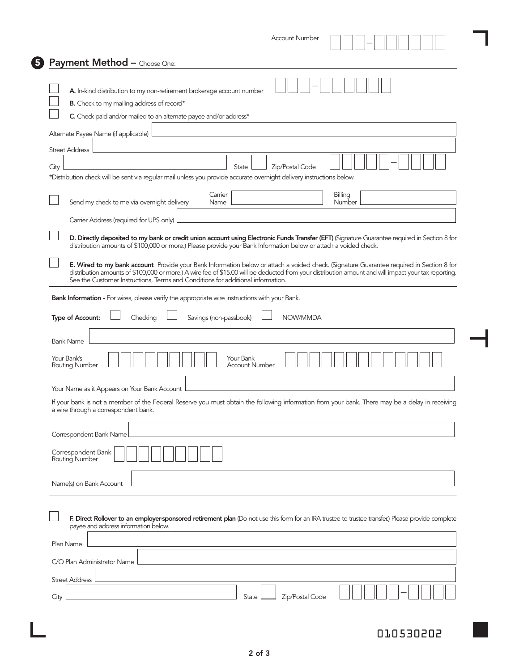|      | <b>Account Number</b>                                                                                                                                                                                                                                                                                                                                                                                                                                                                                                                                                          |
|------|--------------------------------------------------------------------------------------------------------------------------------------------------------------------------------------------------------------------------------------------------------------------------------------------------------------------------------------------------------------------------------------------------------------------------------------------------------------------------------------------------------------------------------------------------------------------------------|
|      | <b>Payment Method - Choose One:</b>                                                                                                                                                                                                                                                                                                                                                                                                                                                                                                                                            |
|      | A. In-kind distribution to my non-retirement brokerage account number<br>B. Check to my mailing address of record*                                                                                                                                                                                                                                                                                                                                                                                                                                                             |
|      | C. Check paid and/or mailed to an alternate payee and/or address*                                                                                                                                                                                                                                                                                                                                                                                                                                                                                                              |
|      | Alternate Payee Name (if applicable)                                                                                                                                                                                                                                                                                                                                                                                                                                                                                                                                           |
|      | <b>Street Address</b>                                                                                                                                                                                                                                                                                                                                                                                                                                                                                                                                                          |
| City | Zip/Postal Code<br>State<br>*Distribution check will be sent via regular mail unless you provide accurate overnight delivery instructions below.                                                                                                                                                                                                                                                                                                                                                                                                                               |
|      | Carrier<br>Billing<br>Send my check to me via overnight delivery<br>Name<br>Number                                                                                                                                                                                                                                                                                                                                                                                                                                                                                             |
|      | Carrier Address (required for UPS only)                                                                                                                                                                                                                                                                                                                                                                                                                                                                                                                                        |
|      | E. Wired to my bank account Provide your Bank Information below or attach a voided check. (Signature Guarantee required in Section 8 for<br>distribution amounts of \$100,000 or more.) A wire fee of \$15.00 will be deducted from your distribution amount and will impact your tax reporting.<br>See the Customer Instructions, Terms and Conditions for additional information.<br>Bank Information - For wires, please verify the appropriate wire instructions with your Bank.<br>NOW/MMDA<br>Type of Account:<br>Checking<br>Savings (non-passbook)<br><b>Bank Name</b> |
|      | Your Bank's<br>Your Bank<br><b>Routing Number</b><br><b>Account Number</b>                                                                                                                                                                                                                                                                                                                                                                                                                                                                                                     |
|      | Your Name as it Appears on Your Bank Account                                                                                                                                                                                                                                                                                                                                                                                                                                                                                                                                   |
|      | If your bank is not a member of the Federal Reserve you must obtain the following information from your bank. There may be a delay in receiving<br>a wire through a correspondent bank.                                                                                                                                                                                                                                                                                                                                                                                        |
|      | Correspondent Bank Name                                                                                                                                                                                                                                                                                                                                                                                                                                                                                                                                                        |
|      | Correspondent Bank<br>Routing Number                                                                                                                                                                                                                                                                                                                                                                                                                                                                                                                                           |
|      | Name(s) on Bank Account                                                                                                                                                                                                                                                                                                                                                                                                                                                                                                                                                        |
|      | F. Direct Rollover to an employer-sponsored retirement plan (Do not use this form for an IRA trustee to trustee transfer.) Please provide complete<br>payee and address information below.<br>Plan Name                                                                                                                                                                                                                                                                                                                                                                        |
|      |                                                                                                                                                                                                                                                                                                                                                                                                                                                                                                                                                                                |
|      | C/O Plan Administrator Name                                                                                                                                                                                                                                                                                                                                                                                                                                                                                                                                                    |
|      | <b>Street Address</b>                                                                                                                                                                                                                                                                                                                                                                                                                                                                                                                                                          |
|      |                                                                                                                                                                                                                                                                                                                                                                                                                                                                                                                                                                                |

L